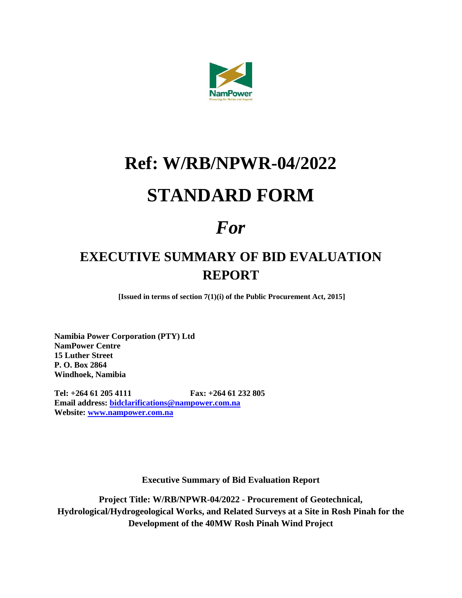

## **Ref: W/RB/NPWR-04/2022 STANDARD FORM**

## *For*

## **EXECUTIVE SUMMARY OF BID EVALUATION REPORT**

**[Issued in terms of section 7(1)(i) of the Public Procurement Act, 2015]**

**Namibia Power Corporation (PTY) Ltd NamPower Centre 15 Luther Street P. O. Box 2864 Windhoek, Namibia**

**Tel: +264 61 205 4111 Fax: +264 61 232 805 Email address: [bidclarifications@nampower.com.na](mailto:bidclarifications@nampower.com.na) Website: [www.nampower.com.na](http://www.nampower.com.na/)**

**Executive Summary of Bid Evaluation Report**

**Project Title: W/RB/NPWR-04/2022 - Procurement of Geotechnical, Hydrological/Hydrogeological Works, and Related Surveys at a Site in Rosh Pinah for the Development of the 40MW Rosh Pinah Wind Project**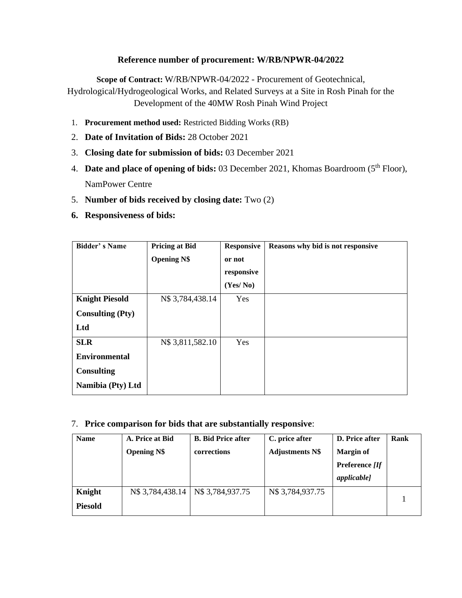## **Reference number of procurement: W/RB/NPWR-04/2022**

**Scope of Contract:** W/RB/NPWR-04/2022 - Procurement of Geotechnical, Hydrological/Hydrogeological Works, and Related Surveys at a Site in Rosh Pinah for the Development of the 40MW Rosh Pinah Wind Project

- 1. **Procurement method used:** Restricted Bidding Works (RB)
- 2. **Date of Invitation of Bids:** 28 October 2021
- 3. **Closing date for submission of bids:** 03 December 2021
- 4. **Date and place of opening of bids:** 03 December 2021, Khomas Boardroom (5<sup>th</sup> Floor), NamPower Centre
- 5. **Number of bids received by closing date:** Two (2)
- **6. Responsiveness of bids:**

| <b>Bidder's Name</b>    | <b>Pricing at Bid</b> | <b>Responsive</b> | Reasons why bid is not responsive |
|-------------------------|-----------------------|-------------------|-----------------------------------|
|                         | <b>Opening N\$</b>    | or not            |                                   |
|                         |                       | responsive        |                                   |
|                         |                       | (Yes/No)          |                                   |
| <b>Knight Piesold</b>   | N\$ 3,784,438.14      | Yes               |                                   |
| <b>Consulting (Pty)</b> |                       |                   |                                   |
| Ltd                     |                       |                   |                                   |
| <b>SLR</b>              | N\$ 3,811,582.10      | Yes               |                                   |
| <b>Environmental</b>    |                       |                   |                                   |
| <b>Consulting</b>       |                       |                   |                                   |
| Namibia (Pty) Ltd       |                       |                   |                                   |

7. **Price comparison for bids that are substantially responsive**:

| <b>Name</b>    | A. Price at Bid    | <b>B.</b> Bid Price after | C. price after         | D. Price after     | Rank |
|----------------|--------------------|---------------------------|------------------------|--------------------|------|
|                | <b>Opening N\$</b> | corrections               | <b>Adjustments N\$</b> | <b>Margin of</b>   |      |
|                |                    |                           |                        | Preference [If     |      |
|                |                    |                           |                        | <i>applicable]</i> |      |
| Knight         | N\$ 3,784,438.14   | N\$ 3,784,937.75          | N\$ 3,784,937.75       |                    |      |
| <b>Piesold</b> |                    |                           |                        |                    |      |